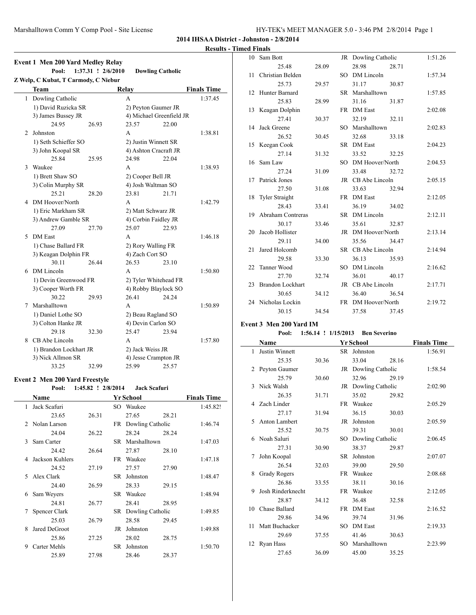### **Results - Timed Finals**

| <b>Event 1 Men 200 Yard Medley Relay</b> |                                      |                    |                          |       |                    |  |  |  |  |
|------------------------------------------|--------------------------------------|--------------------|--------------------------|-------|--------------------|--|--|--|--|
|                                          | Pool:                                | 1:37.31 ! 2/6/2010 | <b>Dowling Catholic</b>  |       |                    |  |  |  |  |
|                                          | Z Welp, C Kubat, T Carmody, C Niebur |                    |                          |       |                    |  |  |  |  |
|                                          | <b>Team</b>                          |                    | <b>Relay</b>             |       | <b>Finals Time</b> |  |  |  |  |
|                                          | 1 Dowling Catholic                   |                    | A                        |       | 1:37.45            |  |  |  |  |
|                                          | 1) David Ruzicka SR                  |                    | 2) Peyton Gaumer JR      |       |                    |  |  |  |  |
|                                          | 3) James Bussey JR                   |                    | 4) Michael Greenfield JR |       |                    |  |  |  |  |
|                                          | 24.95                                | 26.93              | 23.57                    | 22.00 |                    |  |  |  |  |
| 2                                        | Johnston                             |                    | A                        |       | 1:38.81            |  |  |  |  |
|                                          | 1) Seth Schieffer SO                 |                    | 2) Justin Winnett SR     |       |                    |  |  |  |  |
|                                          | 3) John Koopal SR                    |                    | 4) Ashton Cracraft JR    |       |                    |  |  |  |  |
|                                          | 25.84                                | 25.95              | 24.98                    | 22.04 |                    |  |  |  |  |
| 3                                        | Waukee                               |                    | A                        |       | 1:38.93            |  |  |  |  |
|                                          | 1) Brett Shaw SO                     |                    | 2) Cooper Bell JR        |       |                    |  |  |  |  |
|                                          | 3) Colin Murphy SR                   |                    | 4) Josh Waltman SO       |       |                    |  |  |  |  |
|                                          | 25.21                                | 28.20              | 23.81                    | 21.71 |                    |  |  |  |  |
| 4                                        | DM Hoover/North                      |                    | A                        |       | 1:42.79            |  |  |  |  |
|                                          | 1) Eric Markham SR                   |                    | 2) Matt Schwarz JR       |       |                    |  |  |  |  |
|                                          | 3) Andrew Gamble SR                  |                    | 4) Corbin Faidley JR     |       |                    |  |  |  |  |
|                                          | 27.09                                | 27.70              | 25.07                    | 22.93 |                    |  |  |  |  |
| 5                                        | <b>DM</b> East                       |                    | A                        |       | 1:46.18            |  |  |  |  |
|                                          | 1) Chase Ballard FR                  |                    | 2) Rory Walling FR       |       |                    |  |  |  |  |
|                                          | 3) Keagan Dolphin FR                 |                    | 4) Zach Cort SO          |       |                    |  |  |  |  |
|                                          | 30.11                                | 26.44              | 26.53                    | 23.10 |                    |  |  |  |  |
| 6                                        | DM Lincoln                           |                    | A                        |       | 1:50.80            |  |  |  |  |
|                                          | 1) Devin Greenwood FR                |                    | 2) Tyler Whitehead FR    |       |                    |  |  |  |  |
|                                          | 3) Cooper Worth FR                   |                    | 4) Robby Blaylock SO     |       |                    |  |  |  |  |
|                                          | 30.22                                | 29.93              | 26.41                    | 24.24 |                    |  |  |  |  |
| 7                                        | Marshalltown                         |                    | A                        |       | 1:50.89            |  |  |  |  |
|                                          | 1) Daniel Lothe SO                   |                    | 2) Beau Ragland SO       |       |                    |  |  |  |  |
|                                          | 3) Colton Hanke JR                   |                    | 4) Devin Carlon SO       |       |                    |  |  |  |  |
|                                          | 29.18                                | 32.30              | 25.47                    | 23.94 |                    |  |  |  |  |
| 8                                        | CB Abe Lincoln                       |                    | A                        |       | 1:57.80            |  |  |  |  |
|                                          | 1) Brandon Lockhart JR               |                    | 2) Jack Weiss JR         |       |                    |  |  |  |  |
|                                          | 3) Nick Allmon SR                    |                    | 4) Jesse Crampton JR     |       |                    |  |  |  |  |
|                                          | 33.25                                | 32.99              | 25.99                    | 25.57 |                    |  |  |  |  |

## **Event 2 Men 200 Yard Freestyle**

|               | Pool:           | 1:45.82 ! 2/8/2014 |      | <b>Jack Scafuri</b> |       |                    |
|---------------|-----------------|--------------------|------|---------------------|-------|--------------------|
|               | Name            |                    |      | <b>Yr School</b>    |       | <b>Finals Time</b> |
| 1             | Jack Scafuri    |                    | SO - | Waukee              |       | 1:45.82!           |
|               | 23.65           | 26.31              |      | 27.65               | 28.21 |                    |
| $\mathcal{L}$ | Nolan Larson    |                    | FR.  | Dowling Catholic    |       | 1:46.74            |
|               | 24.04           | 26.22              |      | 28.24               | 28.24 |                    |
| 3             | Sam Carter      |                    | SR.  | Marshalltown        |       | 1:47.03            |
|               | 24.42           | 26.64              |      | 27.87               | 28.10 |                    |
| 4             | Jackson Kuhlers |                    | FR   | Waukee              |       | 1:47.18            |
|               | 24.52           | 27.19              |      | 27.57               | 27.90 |                    |
| 5.            | Alex Clark      |                    | SR   | Johnston            |       | 1:48.47            |
|               | 24.40           | 26.59              |      | 28.33               | 29.15 |                    |
| 6             | Sam Weyers      |                    | SR.  | Waukee              |       | 1:48.94            |
|               | 24.81           | 26.77              |      | 28.41               | 28.95 |                    |
| 7             | Spencer Clark   |                    | SR   | Dowling Catholic    |       | 1:49.85            |
|               | 25.03           | 26.79              |      | 28.58               | 29.45 |                    |
| 8             | Jared DeGroot   |                    | JR   | Johnston            |       | 1:49.88            |
|               | 25.86           | 27.25              |      | 28.02               | 28.75 |                    |
| 9             | Carter Mehls    |                    | SR   | Johnston            |       | 1:50.70            |
|               | 25.89           | 27.98              |      | 28.46               | 28.37 |                    |

| 10 | Sam Bott                |       | JR Dowling Catholic |       | 1:51.26 |
|----|-------------------------|-------|---------------------|-------|---------|
|    | 25.48                   | 28.09 | 28.98               | 28.71 |         |
| 11 | Christian Belden        |       | SO DM Lincoln       |       | 1:57.34 |
|    | 25.73                   | 29.57 | 31.17               | 30.87 |         |
|    | 12 Hunter Barnard       |       | SR Marshalltown     |       | 1:57.85 |
|    | 25.83                   | 28.99 | 31.16               | 31.87 |         |
|    | 13 Keagan Dolphin       |       | FR DM East          |       | 2:02.08 |
|    | 27.41                   | 30.37 | 32.19               | 32.11 |         |
|    | 14 Jack Greene          |       | SO Marshalltown     |       | 2:02.83 |
|    | 26.52                   | 30.45 | 32.68               | 33.18 |         |
|    | 15 Keegan Cook          |       | SR DM East          |       | 2:04.23 |
|    | 27.14                   | 31.32 | 33.52               | 32.25 |         |
|    | 16 Sam Law              |       | SO DM Hoover/North  |       | 2:04.53 |
|    | 27.24                   | 31.09 | 33.48               | 32.72 |         |
|    | 17 Patrick Jones        |       | JR CB Abe Lincoln   |       | 2:05.15 |
|    | 27.50                   | 31.08 | 33.63               | 32.94 |         |
|    | 18 Tyler Straight       |       | FR DM East          |       | 2:12.05 |
|    | 28.43                   | 33.41 | 36.19               | 34.02 |         |
|    | 19 Abraham Contreras    |       | SR DM Lincoln       |       | 2:12.11 |
|    | 30.17                   | 33.46 | 35.61               | 32.87 |         |
|    | 20 Jacob Hollister      |       | JR DM Hoover/North  |       | 2:13.14 |
|    | 29.11                   | 34.00 | 35.56               | 34.47 |         |
| 21 | Jared Holcomb           |       | SR CB Abe Lincoln   |       | 2:14.94 |
|    | 29.58                   | 33.30 | 36.13               | 35.93 |         |
|    | 22 Tanner Wood          |       | SO DM Lincoln       |       | 2:16.62 |
|    | 27.70                   | 32.74 | 36.01               | 40.17 |         |
| 23 | <b>Brandon Lockhart</b> |       | JR CB Abe Lincoln   |       | 2:17.71 |
|    | 30.65                   | 34.12 | 36.40               | 36.54 |         |
|    | 24 Nicholas Lockin      |       | FR DM Hoover/North  |       | 2:19.72 |
|    | 30.15                   | 34.54 | 37.58               | 37.45 |         |

### **Event 3 Men 200 Yard IM**

## **Pool: 1:56.14 ! 1/15/2013 Ben Severino**

|              | Name                  | <b>Finals Time</b> |           |                     |       |         |
|--------------|-----------------------|--------------------|-----------|---------------------|-------|---------|
| 1            | <b>Justin Winnett</b> |                    | SR.       | Johnston            |       | 1:56.91 |
|              | 25.35                 | 30.36              |           | 33.04               | 28.16 |         |
| 2            | Peyton Gaumer         |                    |           | JR Dowling Catholic |       | 1:58.54 |
|              | 25.79                 | 30.60              |           | 32.96               | 29.19 |         |
| $\mathbf{3}$ | Nick Walsh            |                    |           | JR Dowling Catholic |       | 2:02.90 |
|              | 26.35                 | 31.71              |           | 35.02               | 29.82 |         |
| 4            | Zach Linder           |                    | <b>FR</b> | Waukee              |       | 2:05.29 |
|              | 27.17                 | 31.94              |           | 36.15               | 30.03 |         |
| 5            | Anton Lambert         |                    | JR        | Johnston            |       | 2:05.59 |
|              | 25.52                 | 30.75              |           | 39.31               | 30.01 |         |
| 6            | Noah Saluri           |                    | SО        | Dowling Catholic    |       | 2:06.45 |
|              | 27.31                 | 30.90              |           | 38.37               | 29.87 |         |
| 7            | John Koopal           |                    | <b>SR</b> | Johnston            |       | 2:07.07 |
|              | 26.54                 | 32.03              |           | 39.00               | 29.50 |         |
| 8            | <b>Grady Rogers</b>   |                    | FR.       | Waukee              |       | 2:08.68 |
|              | 26.86                 | 33.55              |           | 38.11               | 30.16 |         |
| 9            | Josh Rinderknecht     |                    | <b>FR</b> | Waukee              |       | 2:12.05 |
|              | 28.87                 | 34.12              |           | 36.48               | 32.58 |         |
| 10           | Chase Ballard         |                    | <b>FR</b> | <b>DM</b> East      |       | 2:16.52 |
|              | 29.86                 | 34.96              |           | 39.74               | 31.96 |         |
| 11           | Matt Buchacker        |                    | SO.       | <b>DM</b> East      |       | 2:19.33 |
|              | 29.69                 | 37.55              |           | 41.46               | 30.63 |         |
| 12           | Ryan Hass             |                    | SO.       | Marshalltown        |       | 2:23.99 |
|              | 27.65                 | 36.09              |           | 45.00               | 35.25 |         |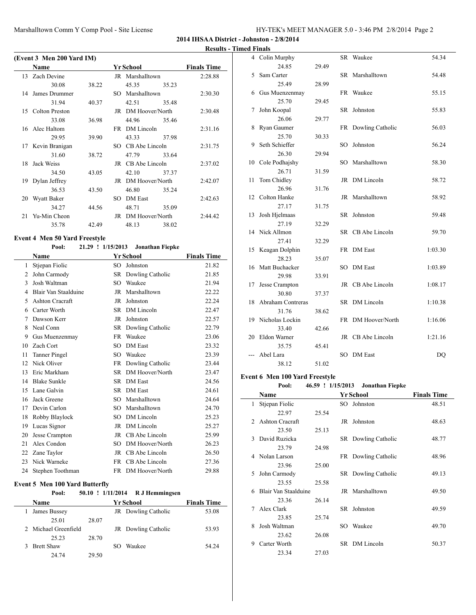**Results - Timed Finals**

|    | (Event 3 Men 200 Yard IM) |       |                    |       |                    |
|----|---------------------------|-------|--------------------|-------|--------------------|
|    | Name                      |       | Yr School          |       | <b>Finals Time</b> |
|    | 13 Zach Devine            |       | JR Marshalltown    |       | 2:28.88            |
|    | 30.08                     | 38.22 | 45.35              | 35.23 |                    |
|    | 14 James Drummer          |       | SO Marshalltown    |       | 2:30.30            |
|    | 31.94                     | 40.37 | 42.51              | 35.48 |                    |
|    | 15 Colton Preston         |       | JR DM Hoover/North |       | 2:30.48            |
|    | 33.08                     | 36.98 | 44.96 35.46        |       |                    |
|    | 16 Alec Haltom            |       | FR DM Lincoln      |       | 2:31.16            |
|    | 29.95                     | 39.90 | 43.33              | 37.98 |                    |
|    | 17 Kevin Branigan         |       | SO CB Abe Lincoln  |       | 2:31.75            |
|    | 31.60                     | 38.72 | 47.79              | 33.64 |                    |
| 18 | Jack Weiss                |       | JR CB Abe Lincoln  |       | 2:37.02            |
|    | 34.50                     | 43.05 | 42.10 37.37        |       |                    |
| 19 | Dylan Jeffrey             |       | JR DM Hoover/North |       | 2:42.07            |
|    | 36.53                     | 43.50 | 46.80              | 35.24 |                    |
| 20 | Wyatt Baker               |       | SO DM East         |       | 2:42.63            |
|    | 34.27                     | 44.56 | 48.71              | 35.09 |                    |
| 21 | Yu-Min Cheon              |       | JR DM Hoover/North |       | 2:44.42            |
|    | 35.78                     | 42.49 | 48.13              | 38.02 |                    |
|    |                           |       |                    |       |                    |

## **Event 4 Men 50 Yard Freestyle**

| Pool: |  |  |  | 21.29 ! 1/15/2013 Jonathan Fiepke |
|-------|--|--|--|-----------------------------------|
|-------|--|--|--|-----------------------------------|

| Name                 |     |                 | <b>Finals Time</b>                                                                                                                                                                    |
|----------------------|-----|-----------------|---------------------------------------------------------------------------------------------------------------------------------------------------------------------------------------|
| Stjepan Fiolic       | SO  | Johnston        | 21.82                                                                                                                                                                                 |
| John Carmody         |     |                 | 21.85                                                                                                                                                                                 |
| Josh Waltman         | SO  | Waukee          | 21.94                                                                                                                                                                                 |
| Blair Van Staalduine | JR  | Marshalltown    | 22.22                                                                                                                                                                                 |
| Ashton Cracraft      | JR  | Johnston        | 22.24                                                                                                                                                                                 |
| Carter Worth         | SR. |                 | 22.47                                                                                                                                                                                 |
| Dawson Kerr          | JR. | Johnston        | 22.57                                                                                                                                                                                 |
| Neal Conn            |     |                 | 22.79                                                                                                                                                                                 |
| Gus Muenzenmay       | FR  | Waukee          | 23.06                                                                                                                                                                                 |
| Zach Cort            | SO  | <b>DM</b> East  | 23.32                                                                                                                                                                                 |
| <b>Tanner Pingel</b> | SO  | Waukee          | 23.39                                                                                                                                                                                 |
| Nick Oliver          |     |                 | 23.44                                                                                                                                                                                 |
| Eric Markham         | SR. | DM Hoover/North | 23.47                                                                                                                                                                                 |
| <b>Blake Sunkle</b>  | SR. |                 | 24.56                                                                                                                                                                                 |
| Lane Galvin          | SR. | <b>DM</b> East  | 24.61                                                                                                                                                                                 |
| Jack Greene          | SO  | Marshalltown    | 24.64                                                                                                                                                                                 |
| Devin Carlon         | SO  | Marshalltown    | 24.70                                                                                                                                                                                 |
| Robby Blaylock       | SO  | DM Lincoln      | 25.23                                                                                                                                                                                 |
| Lucas Signor         | JR  | DM Lincoln      | 25.27                                                                                                                                                                                 |
| Jesse Crampton       | JR  | CB Abe Lincoln  | 25.99                                                                                                                                                                                 |
| Alex Condon          | SO  | DM Hoover/North | 26.23                                                                                                                                                                                 |
| Zane Taylor          |     |                 | 26.50                                                                                                                                                                                 |
| Nick Warneke         |     |                 | 27.36                                                                                                                                                                                 |
| Stephen Toothman     |     |                 | 29.88                                                                                                                                                                                 |
|                      |     |                 | <b>Yr School</b><br>SR Dowling Catholic<br>DM Lincoln<br>SR Dowling Catholic<br>FR Dowling Catholic<br><b>DM</b> East<br>JR CB Abe Lincoln<br>FR CB Abe Lincoln<br>FR DM Hoover/North |

#### **Event 5 Men 100 Yard Butterfly**

### **Pool: 50.10 ! 1/11/2014 R J Hemmingsen Name Vr School Finals Time**

|   | гуание               |       | т г эспоог          | гинану типе |
|---|----------------------|-------|---------------------|-------------|
|   | James Bussey         |       | JR Dowling Catholic | 53.08       |
|   | 25.01                | 28.07 |                     |             |
|   | 2 Michael Greenfield |       | JR Dowling Catholic | 53.93       |
|   | 25.23                | 28.70 |                     |             |
| 3 | <b>Brett Shaw</b>    |       | Waukee<br>SO.       | 54.24       |
|   | 24.74                | 29.50 |                     |             |

| 4  | Colin Murphy      |       | SR  | Waukee             | 54.34          |
|----|-------------------|-------|-----|--------------------|----------------|
|    | 24.85             | 29.49 |     |                    |                |
| 5  | Sam Carter        |       | SR  | Marshalltown       | 54.48          |
|    | 25.49             | 28.99 |     |                    |                |
| 6  | Gus Muenzenmay    |       |     | FR Waukee          | 55.15          |
|    | 25.70             | 29.45 |     |                    |                |
| 7  | John Koopal       |       | SR  | Johnston           | 55.83          |
|    | 26.06             | 29.77 |     |                    |                |
| 8  | Ryan Gaumer       |       | FR  | Dowling Catholic   | 56.03          |
|    | 25.70             | 30.33 |     |                    |                |
| 9  | Seth Schieffer    |       | SO  | Johnston           | 56.24          |
|    | 26.30             | 29.94 |     |                    |                |
| 10 | Cole Podhajshy    |       | SO. | Marshalltown       | 58.30          |
|    | 26.71             | 31.59 |     |                    |                |
| 11 | Tom Chidley       |       |     | JR DM Lincoln      | 58.72          |
|    | 26.96             | 31.76 |     |                    |                |
| 12 | Colton Hanke      |       | JR  | Marshalltown       | 58.92          |
|    | 27.17             | 31.75 |     |                    |                |
| 13 | Josh Hjelmaas     |       | SR  | Johnston           | 59.48          |
|    | 27.19             | 32.29 |     |                    |                |
| 14 | Nick Allmon       |       |     | SR CB Abe Lincoln  | 59.70          |
|    | 27.41             | 32.29 |     |                    |                |
| 15 | Keagan Dolphin    |       |     | FR DM East         | 1:03.30        |
|    | 28.23             | 35.07 |     |                    |                |
| 16 | Matt Buchacker    |       | SO. | <b>DM</b> East     | 1:03.89        |
|    | 29.98             | 33.91 |     |                    |                |
| 17 | Jesse Crampton    |       | JR  | CB Abe Lincoln     | 1:08.17        |
|    | 30.80             | 37.37 |     |                    |                |
| 18 | Abraham Contreras |       |     | SR DM Lincoln      | 1:10.38        |
|    | 31.76             | 38.62 |     |                    |                |
| 19 | Nicholas Lockin   |       |     | FR DM Hoover/North | 1:16.06        |
|    | 33.40             | 42.66 |     |                    |                |
| 20 | Eldon Warner      |       |     | JR CB Abe Lincoln  | 1:21.16        |
|    | 35.75             | 45.41 |     |                    |                |
|    | Abel Lara         |       | SО  | <b>DM</b> East     | D <sub>O</sub> |
|    | 38.12             | 51.02 |     |                    |                |

### **Event 6 Men 100 Yard Freestyle**

# **Pool: 46.59 ! 1/15/2013 Jonathan Fiepke**

|             | Name                 |       |     | Yr School           | <b>Finals Time</b> |  |  |
|-------------|----------------------|-------|-----|---------------------|--------------------|--|--|
| 1           | Stjepan Fiolic       |       |     | SO Johnston         | 48.51              |  |  |
|             | 22.97                | 25.54 |     |                     |                    |  |  |
| $2^{\circ}$ | Ashton Cracraft      |       | JR. | Johnston            | 48.63              |  |  |
|             | 23.50                | 25.13 |     |                     |                    |  |  |
| 3           | David Ruzicka        |       |     | SR Dowling Catholic | 48.77              |  |  |
|             | 23.79                | 24.98 |     |                     |                    |  |  |
|             | 4 Nolan Larson       |       |     | FR Dowling Catholic | 48.96              |  |  |
|             | 23.96                | 25.00 |     |                     |                    |  |  |
| 5.          | John Carmody         |       |     | SR Dowling Catholic | 49.13              |  |  |
|             | 23.55                | 25.58 |     |                     |                    |  |  |
| 6           | Blair Van Staalduine |       |     | JR Marshalltown     | 49.50              |  |  |
|             | 23.36                | 26.14 |     |                     |                    |  |  |
| 7           | Alex Clark           |       |     | SR Johnston         | 49.59              |  |  |
|             | 23.85                | 25.74 |     |                     |                    |  |  |
| 8           | Josh Waltman         |       | SO. | Waukee              | 49.70              |  |  |
|             | 23.62                | 26.08 |     |                     |                    |  |  |
| 9           | Carter Worth         |       |     | SR DM Lincoln       | 50.37              |  |  |
|             | 23.34                | 27.03 |     |                     |                    |  |  |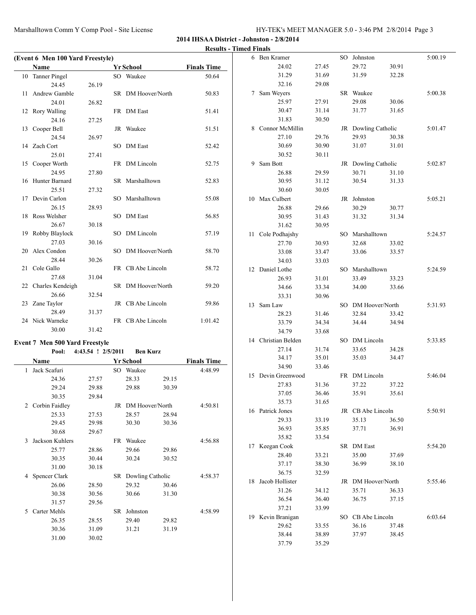|                                       |                    |                     |       | <b>Results - Timed Finals</b> |                           |                |                            |       |         |
|---------------------------------------|--------------------|---------------------|-------|-------------------------------|---------------------------|----------------|----------------------------|-------|---------|
| (Event 6 Men 100 Yard Freestyle)      |                    |                     |       |                               | 6 Ben Kramer              |                | SO Johnston                |       | 5:00.19 |
| Name                                  |                    | <b>Yr School</b>    |       | <b>Finals Time</b>            | 24.02                     | 27.45          | 29.72                      | 30.91 |         |
| 10 Tanner Pingel                      |                    | SO Waukee           |       | 50.64                         | 31.29                     | 31.69          | 31.59                      | 32.28 |         |
| 24.45                                 | 26.19              |                     |       |                               | 32.16                     | 29.08          |                            |       |         |
| 11 Andrew Gamble                      |                    | SR DM Hoover/North  |       | 50.83                         | 7 Sam Weyers              |                | SR Waukee                  |       | 5:00.38 |
| 24.01                                 | 26.82              |                     |       |                               | 25.97                     | 27.91          | 29.08                      | 30.06 |         |
| 12 Rory Walling                       |                    | FR DM East          |       | 51.41                         | 30.47                     | 31.14          | 31.77                      | 31.65 |         |
| 24.16                                 | 27.25              |                     |       |                               | 31.83                     | 30.50          |                            |       |         |
| 13 Cooper Bell                        |                    | JR Waukee           |       | 51.51                         | 8 Connor McMillin         |                | JR Dowling Catholic        |       | 5:01.47 |
| 24.54                                 | 26.97              |                     |       |                               | 27.10                     | 29.76          | 29.93                      | 30.38 |         |
| 14 Zach Cort                          |                    | SO DM East          |       | 52.42                         | 30.69                     | 30.90          | 31.07                      | 31.01 |         |
| 25.01                                 | 27.41              |                     |       |                               | 30.52                     | 30.11          |                            |       |         |
| 15 Cooper Worth                       |                    | FR DM Lincoln       |       | 52.75                         | 9 Sam Bott                |                | JR Dowling Catholic        |       | 5:02.87 |
| 24.95                                 | 27.80              |                     |       |                               | 26.88                     | 29.59          | 30.71                      | 31.10 |         |
| 16 Hunter Barnard                     |                    | SR Marshalltown     |       | 52.83                         | 30.95                     | 31.12          | 30.54                      | 31.33 |         |
| 25.51                                 | 27.32              |                     |       |                               | 30.60                     | 30.05          |                            |       |         |
| 17 Devin Carlon                       |                    | SO Marshalltown     |       | 55.08                         | 10 Max Culbert            |                | JR Johnston                |       | 5:05.21 |
| 26.15                                 | 28.93              |                     |       |                               | 26.88                     | 29.66          | 30.29                      | 30.77 |         |
| 18 Ross Welsher                       |                    | SO DM East          |       | 56.85                         | 30.95                     | 31.43          | 31.32                      | 31.34 |         |
| 26.67                                 | 30.18              |                     |       |                               | 31.62                     | 30.95          |                            |       |         |
| 19 Robby Blaylock                     |                    | SO DM Lincoln       |       | 57.19                         | 11 Cole Podhajshy         |                | SO Marshalltown            |       | 5:24.57 |
| 27.03                                 | 30.16              |                     |       |                               | 27.70                     | 30.93          | 32.68                      | 33.02 |         |
| 20 Alex Condon                        |                    | SO DM Hoover/North  |       | 58.70                         | 33.08                     | 33.47          | 33.06                      | 33.57 |         |
| 28.44                                 | 30.26              |                     |       |                               | 34.03                     | 33.03          |                            |       |         |
| 21 Cole Gallo                         |                    | FR CB Abe Lincoln   |       | 58.72                         | 12 Daniel Lothe           |                | SO Marshalltown            |       | 5:24.59 |
| 27.68                                 | 31.04              |                     |       |                               | 26.93                     | 31.01          | 33.49                      | 33.23 |         |
| 22 Charles Kendeigh                   |                    | SR DM Hoover/North  |       | 59.20                         | 34.66                     | 33.34          | 34.00                      | 33.66 |         |
| 26.66                                 | 32.54              |                     |       |                               | 33.31                     | 30.96          |                            |       |         |
| 23 Zane Taylor                        |                    | JR CB Abe Lincoln   |       | 59.86                         | 13 Sam Law                |                | SO DM Hoover/North         |       | 5:31.93 |
| 28.49                                 | 31.37              |                     |       |                               | 28.23                     | 31.46          | 32.84                      | 33.42 |         |
| 24 Nick Warneke                       |                    | FR CB Abe Lincoln   |       | 1:01.42                       | 33.79                     | 34.34          | 34.44                      | 34.94 |         |
| 30.00                                 | 31.42              |                     |       |                               | 34.79                     | 33.68          |                            |       |         |
|                                       |                    |                     |       |                               | 14 Christian Belden       |                | SO DM Lincoln              |       | 5:33.85 |
| <b>Event 7 Men 500 Yard Freestyle</b> |                    |                     |       |                               | 27.14                     | 31.74          | 33.65                      | 34.28 |         |
| Pool:                                 | 4:43.54 ! 2/5/2011 | <b>Ben Kurz</b>     |       |                               | 34.17                     | 35.01          | 35.03                      | 34.47 |         |
| Name                                  |                    | <b>Yr School</b>    |       | <b>Finals Time</b>            | 34.90                     | 33.46          |                            |       |         |
| 1 Jack Scafuri                        |                    | SO Waukee           |       | 4:48.99                       | 15 Devin Greenwood        |                | FR DM Lincoln              |       | 5:46.04 |
| 24.36                                 | 27.57              | 28.33               | 29.15 |                               | 27.83                     |                | 37.22                      | 37.22 |         |
| 29.24                                 | 29.88              | 29.88               | 30.39 |                               | 37.05                     | 31.36<br>36.46 | 35.91                      | 35.61 |         |
| 30.35                                 | 29.84              |                     |       |                               | 35.73                     | 31.65          |                            |       |         |
| 2 Corbin Faidley                      |                    | JR DM Hoover/North  |       | 4:50.81                       |                           |                |                            |       | 5:50.91 |
| 25.33                                 | 27.53              | 28.57               | 28.94 |                               | 16 Patrick Jones<br>29.33 |                | JR CB Abe Lincoln<br>35.13 |       |         |
| 29.45                                 | 29.98              | 30.30               | 30.36 |                               |                           | 33.19          | 37.71                      | 36.50 |         |
| 30.68                                 | 29.67              |                     |       |                               | 36.93<br>35.82            | 35.85          |                            | 36.91 |         |
| 3 Jackson Kuhlers                     |                    | FR Waukee           |       | 4:56.88                       |                           | 33.54          |                            |       |         |
| 25.77                                 | 28.86              | 29.66               | 29.86 |                               | 17 Keegan Cook            |                | SR DM East                 |       | 5:54.20 |
| 30.35                                 | 30.44              | 30.24               | 30.52 |                               | 28.40                     | 33.21          | 35.00                      | 37.69 |         |
| 31.00                                 | 30.18              |                     |       |                               | 37.17                     | 38.30          | 36.99                      | 38.10 |         |
| 4 Spencer Clark                       |                    | SR Dowling Catholic |       | 4:58.37                       | 36.75                     | 32.59          |                            |       |         |
| 26.06                                 | 28.50              | 29.32               | 30.46 |                               | 18 Jacob Hollister        |                | JR DM Hoover/North         |       | 5:55.46 |
| 30.38                                 | 30.56              | 30.66               | 31.30 |                               | 31.26                     | 34.12          | 35.71                      | 36.33 |         |
| 31.57                                 | 29.56              |                     |       |                               | 36.54                     | 36.40          | 36.75                      | 37.15 |         |
| 5 Carter Mehls                        |                    | SR Johnston         |       | 4:58.99                       | 37.21                     | 33.99          |                            |       |         |
| 26.35                                 | 28.55              | 29.40               | 29.82 |                               | 19 Kevin Branigan         |                | SO CB Abe Lincoln          |       | 6:03.64 |
| 30.36                                 | 31.09              | 31.21               | 31.19 |                               | 29.62                     | 33.55          | 36.16                      | 37.48 |         |
| 31.00                                 | 30.02              |                     |       |                               | 38.44                     | 38.89          | 37.97                      | 38.45 |         |
|                                       |                    |                     |       |                               | 37.79                     | 35.29          |                            |       |         |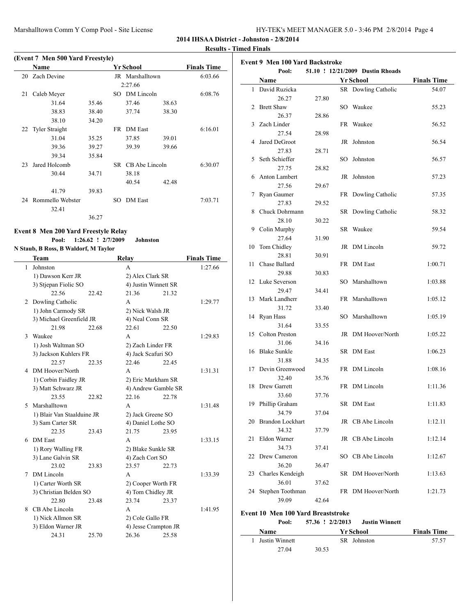### **Results - Timed Finals**

|    | (Event 7 Men 500 Yard Freestyle) |       |     |                   |       |                    |  |  |  |  |  |  |
|----|----------------------------------|-------|-----|-------------------|-------|--------------------|--|--|--|--|--|--|
|    | Name                             |       |     | <b>Yr School</b>  |       | <b>Finals Time</b> |  |  |  |  |  |  |
| 20 | Zach Devine                      |       |     | JR Marshalltown   |       | 6:03.66            |  |  |  |  |  |  |
|    |                                  |       |     | 2:27.66           |       |                    |  |  |  |  |  |  |
| 21 | Caleb Meyer                      |       | SO. | DM Lincoln        |       | 6:08.76            |  |  |  |  |  |  |
|    | 31.64                            | 35.46 |     | 37.46             | 38.63 |                    |  |  |  |  |  |  |
|    | 38.83                            | 38.40 |     | 37.74             | 38.30 |                    |  |  |  |  |  |  |
|    | 38.10                            | 34.20 |     |                   |       |                    |  |  |  |  |  |  |
|    | 22 Tyler Straight                |       | FR. | <b>DM</b> East    |       | 6:16.01            |  |  |  |  |  |  |
|    | 31.04                            | 35.25 |     | 37.85             | 39.01 |                    |  |  |  |  |  |  |
|    | 39.36                            | 39.27 |     | 39.39             | 39.66 |                    |  |  |  |  |  |  |
|    | 39.34                            | 35.84 |     |                   |       |                    |  |  |  |  |  |  |
| 23 | Jared Holcomb                    |       |     | SR CB Abe Lincoln |       | 6:30.07            |  |  |  |  |  |  |
|    | 30.44                            | 34.71 |     | 38.18             |       |                    |  |  |  |  |  |  |
|    |                                  |       |     | 40.54             | 42.48 |                    |  |  |  |  |  |  |
|    | 41.79                            | 39.83 |     |                   |       |                    |  |  |  |  |  |  |
| 24 | Rommello Webster                 |       | SО  | <b>DM</b> East    |       | 7:03.71            |  |  |  |  |  |  |
|    | 32.41                            |       |     |                   |       |                    |  |  |  |  |  |  |
|    |                                  | 36.27 |     |                   |       |                    |  |  |  |  |  |  |

## **Event 8 Men 200 Yard Freestyle Relay Pool: 1:26.62 ! 2/7/2009 Johnston**

## **N Staub, B Ross, B Waldorf, M Taylor**

 $\overline{\phantom{0}}$ 

|    | <b>Team</b>                 |       | Relay                         |                   | <b>Finals Time</b> |
|----|-----------------------------|-------|-------------------------------|-------------------|--------------------|
| 1  | Johnston                    |       | A                             |                   | 1:27.66            |
|    | 1) Dawson Kerr JR           |       | 2) Alex Clark SR              |                   |                    |
|    | 3) Stjepan Fiolic SO        |       | 4) Justin Winnett SR          |                   |                    |
|    | 22.56                       | 22.42 | 21.36                         | 21.32             |                    |
| 2  | Dowling Catholic            |       | A                             |                   | 1:29.77            |
|    | 1) John Carmody SR          |       | 2) Nick Walsh JR              |                   |                    |
|    | 3) Michael Greenfield JR    |       | 4) Neal Conn SR               |                   |                    |
|    | 21.98                       | 22.68 | 22.61                         | 22.50             |                    |
| 3  | Waukee                      |       | A                             |                   | 1:29.83            |
|    | 1) Josh Waltman SO          |       | 2) Zach Linder FR             |                   |                    |
|    | 3) Jackson Kuhlers FR       |       | 4) Jack Scafuri SO            |                   |                    |
|    | 22.57                       | 22.35 | 22.46                         | 22.45             |                    |
|    | 4 DM Hoover/North           |       | A                             |                   | 1:31.31            |
|    | 1) Corbin Faidley JR        |       | 2) Eric Markham SR            |                   |                    |
|    | 3) Matt Schwarz JR          |       | 4) Andrew Gamble SR           |                   |                    |
|    | 23.55                       | 22.82 | 22.16                         | 22.78             |                    |
| 5. | Marshalltown                |       | A                             |                   | 1:31.48            |
|    | 1) Blair Van Staalduine JR  |       |                               | 2) Jack Greene SO |                    |
|    | 3) Sam Carter SR            |       | 4) Daniel Lothe SO            |                   |                    |
|    | 22.35                       | 23.43 | 21.75                         | 23.95             |                    |
| 6  | <b>DM</b> East              |       | A                             |                   | 1:33.15            |
|    | 1) Rory Walling FR          |       | 2) Blake Sunkle SR            |                   |                    |
|    | 3) Lane Galvin SR           |       | 4) Zach Cort SO               |                   |                    |
|    | 23.02                       | 23.83 | 23.57                         | 22.73             |                    |
| 7  | DM Lincoln                  |       | A                             |                   | 1:33.39            |
|    | 1) Carter Worth SR          |       | 2) Cooper Worth FR            |                   |                    |
|    | 3) Christian Belden SO      |       | 4) Tom Chidley JR             |                   |                    |
|    | 22.80<br>CB Abe Lincoln     | 23.48 | 23.74                         | 23.37             |                    |
| 8. |                             |       | A                             |                   | 1:41.95            |
|    | 1) Nick Allmon SR           |       | 2) Cole Gallo FR              |                   |                    |
|    | 3) Eldon Warner JR<br>24.31 | 25.70 | 4) Jesse Crampton JR<br>26.36 | 25.58             |                    |
|    |                             |       |                               |                   |                    |

| <b>Event 9 Men 100 Yard Backstroke</b>    |                                           |       |    |                     |                    |
|-------------------------------------------|-------------------------------------------|-------|----|---------------------|--------------------|
| 51.10 ! 12/21/2009 Dustin Rhoads<br>Pool: |                                           |       |    |                     |                    |
|                                           | Name                                      |       |    | <b>Yr School</b>    | <b>Finals Time</b> |
| $\mathbf{1}$                              | David Ruzicka                             |       |    | SR Dowling Catholic | 54.07              |
|                                           | 26.27                                     | 27.80 |    |                     |                    |
| 2                                         | <b>Brett Shaw</b>                         |       |    | SO Waukee           | 55.23              |
|                                           | 26.37                                     | 28.86 |    |                     |                    |
| 3                                         | Zach Linder                               |       |    | FR Waukee           | 56.52              |
|                                           | 27.54                                     | 28.98 |    |                     |                    |
| 4                                         | Jared DeGroot                             |       |    | JR Johnston         | 56.54              |
|                                           | 27.83                                     | 28.71 |    |                     |                    |
| 5                                         | Seth Schieffer                            |       |    | SO Johnston         | 56.57              |
|                                           | 27.75                                     | 28.82 |    |                     |                    |
| 6                                         | Anton Lambert                             |       |    | JR Johnston         | 57.23              |
|                                           | 27.56                                     | 29.67 |    |                     |                    |
| 7                                         | Ryan Gaumer                               |       |    | FR Dowling Catholic | 57.35              |
|                                           | 27.83                                     | 29.52 |    |                     |                    |
| 8                                         | Chuck Dohrmann                            |       |    | SR Dowling Catholic | 58.32              |
|                                           | 28.10                                     | 30.22 |    |                     |                    |
| 9                                         | Colin Murphy                              |       |    | SR Waukee           | 59.54              |
|                                           | 27.64                                     | 31.90 |    |                     |                    |
| 10                                        | Tom Chidley                               |       |    | JR DM Lincoln       | 59.72              |
|                                           | 28.81                                     | 30.91 |    |                     |                    |
| 11                                        | Chase Ballard                             |       |    | FR DM East          | 1:00.71            |
|                                           | 29.88                                     | 30.83 |    |                     |                    |
|                                           | 12 Luke Severson                          |       |    | SO Marshalltown     | 1:03.88            |
|                                           | 29.47                                     | 34.41 |    |                     |                    |
|                                           | 13 Mark Landherr                          |       |    | FR Marshalltown     | 1:05.12            |
|                                           | 31.72                                     | 33.40 |    |                     |                    |
| 14                                        | Ryan Hass                                 |       |    | SO Marshalltown     | 1:05.19            |
|                                           | 31.64                                     | 33.55 |    |                     |                    |
|                                           | 15 Colton Preston                         |       |    | JR DM Hoover/North  | 1:05.22            |
|                                           | 31.06                                     | 34.16 |    |                     |                    |
| 16                                        | <b>Blake Sunkle</b>                       |       |    | SR DM East          | 1:06.23            |
|                                           | 31.88                                     | 34.35 |    |                     |                    |
| 17                                        | Devin Greenwood                           |       |    | FR DM Lincoln       | 1:08.16            |
|                                           | 32.40                                     | 35.76 |    |                     |                    |
| 18                                        | Drew Garrett                              |       |    | FR DM Lincoln       | 1:11.36            |
|                                           | 33.60                                     | 37.76 |    |                     |                    |
|                                           | 19 Phillip Graham                         |       | SR | DM East             | 1:11.83            |
|                                           | 34.79                                     | 37.04 |    |                     |                    |
| 20                                        | Brandon Lockhart                          |       |    | JR CB Abe Lincoln   | 1:12.11            |
|                                           | 34.32                                     | 37.79 |    |                     |                    |
| 21                                        | Eldon Warner                              |       |    | JR CB Abe Lincoln   | 1:12.14            |
|                                           | 34.73                                     | 37.41 |    |                     |                    |
| 22                                        | Drew Cameron                              |       |    | SO CB Abe Lincoln   | 1:12.67            |
|                                           | 36.20                                     | 36.47 |    |                     |                    |
| 23                                        | Charles Kendeigh                          |       |    | SR DM Hoover/North  | 1:13.63            |
|                                           | 36.01                                     | 37.62 |    |                     |                    |
| 24                                        | Stephen Toothman                          |       |    | FR DM Hoover/North  | 1:21.73            |
|                                           | 39.09                                     | 42.64 |    |                     |                    |
|                                           | <b>Event 10 Men 100 Yard Breaststroke</b> |       |    |                     |                    |

**Pool: 57.36 ! 2/2/2013 Justin Winnett**

 $\overline{a}$ 

| Name             |       | <b>Yr School</b> | <b>Finals Time</b> |
|------------------|-------|------------------|--------------------|
| 1 Justin Winnett |       | SR Johnston      | 57.57              |
| 27.04            | 30.53 |                  |                    |